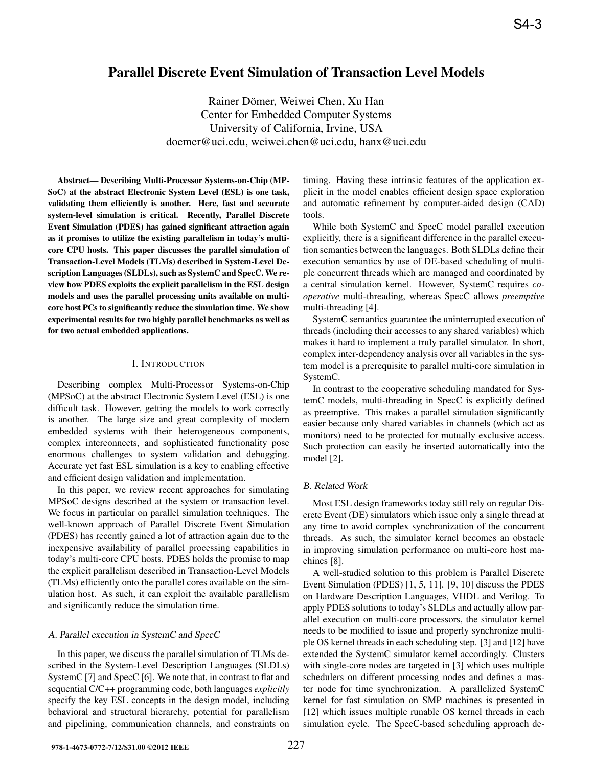# **Parallel Discrete Event Simulation of Transaction Level Models**

Rainer Dömer, Weiwei Chen, Xu Han Center for Embedded Computer Systems University of California, Irvine, USA doemer@uci.edu, weiwei.chen@uci.edu, hanx@uci.edu

**Abstract— Describing Multi-Processor Systems-on-Chip (MP-SoC) at the abstract Electronic System Level (ESL) is one task, validating them efficiently is another. Here, fast and accurate system-level simulation is critical. Recently, Parallel Discrete Event Simulation (PDES) has gained significant attraction again as it promises to utilize the existing parallelism in today's multicore CPU hosts. This paper discusses the parallel simulation of Transaction-Level Models (TLMs) described in System-Level Description Languages (SLDLs), such as SystemC and SpecC. We review how PDES exploits the explicit parallelism in the ESL design models and uses the parallel processing units available on multicore host PCs to significantly reduce the simulation time. We show experimental results for two highly parallel benchmarks as well as for two actual embedded applications.**

## I. INTRODUCTION

Describing complex Multi-Processor Systems-on-Chip (MPSoC) at the abstract Electronic System Level (ESL) is one difficult task. However, getting the models to work correctly is another. The large size and great complexity of modern embedded systems with their heterogeneous components, complex interconnects, and sophisticated functionality pose enormous challenges to system validation and debugging. Accurate yet fast ESL simulation is a key to enabling effective and efficient design validation and implementation.

In this paper, we review recent approaches for simulating MPSoC designs described at the system or transaction level. We focus in particular on parallel simulation techniques. The well-known approach of Parallel Discrete Event Simulation (PDES) has recently gained a lot of attraction again due to the inexpensive availability of parallel processing capabilities in today's multi-core CPU hosts. PDES holds the promise to map the explicit parallelism described in Transaction-Level Models (TLMs) efficiently onto the parallel cores available on the simulation host. As such, it can exploit the available parallelism and significantly reduce the simulation time.

## A. Parallel execution in SystemC and SpecC

In this paper, we discuss the parallel simulation of TLMs described in the System-Level Description Languages (SLDLs) SystemC [7] and SpecC [6]. We note that, in contrast to flat and sequential C/C++ programming code, both languages *explicitly* specify the key ESL concepts in the design model, including behavioral and structural hierarchy, potential for parallelism and pipelining, communication channels, and constraints on

timing. Having these intrinsic features of the application explicit in the model enables efficient design space exploration and automatic refinement by computer-aided design (CAD) tools.

While both SystemC and SpecC model parallel execution explicitly, there is a significant difference in the parallel execution semantics between the languages. Both SLDLs define their execution semantics by use of DE-based scheduling of multiple concurrent threads which are managed and coordinated by a central simulation kernel. However, SystemC requires *cooperative* multi-threading, whereas SpecC allows *preemptive* multi-threading [4].

SystemC semantics guarantee the uninterrupted execution of threads (including their accesses to any shared variables) which makes it hard to implement a truly parallel simulator. In short, complex inter-dependency analysis over all variables in the system model is a prerequisite to parallel multi-core simulation in SystemC.

In contrast to the cooperative scheduling mandated for SystemC models, multi-threading in SpecC is explicitly defined as preemptive. This makes a parallel simulation significantly easier because only shared variables in channels (which act as monitors) need to be protected for mutually exclusive access. Such protection can easily be inserted automatically into the model [2].

#### B. Related Work

Most ESL design frameworks today still rely on regular Discrete Event (DE) simulators which issue only a single thread at any time to avoid complex synchronization of the concurrent threads. As such, the simulator kernel becomes an obstacle in improving simulation performance on multi-core host machines [8].

A well-studied solution to this problem is Parallel Discrete Event Simulation (PDES) [1, 5, 11]. [9, 10] discuss the PDES on Hardware Description Languages, VHDL and Verilog. To apply PDES solutions to today's SLDLs and actually allow parallel execution on multi-core processors, the simulator kernel needs to be modified to issue and properly synchronize multiple OS kernel threads in each scheduling step. [3] and [12] have extended the SystemC simulator kernel accordingly. Clusters with single-core nodes are targeted in [3] which uses multiple schedulers on different processing nodes and defines a master node for time synchronization. A parallelized SystemC kernel for fast simulation on SMP machines is presented in [12] which issues multiple runable OS kernel threads in each simulation cycle. The SpecC-based scheduling approach de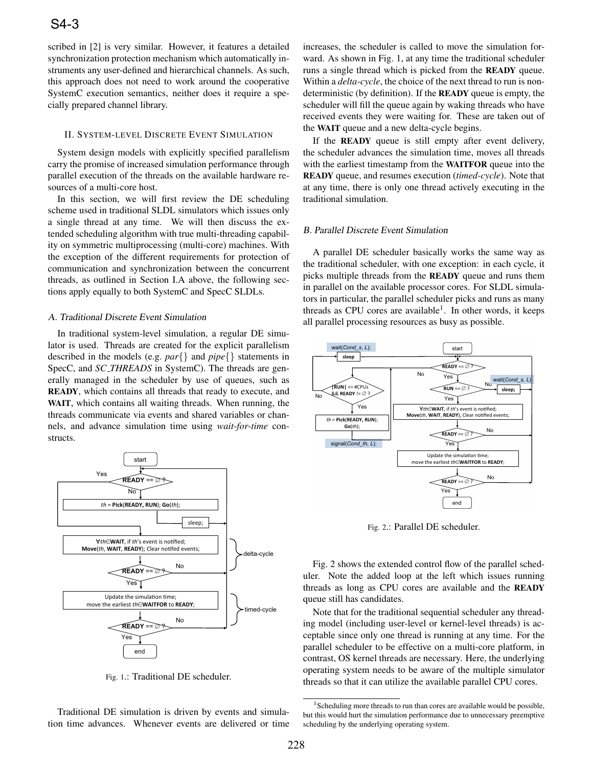scribed in [2] is very similar. However, it features a detailed synchronization protection mechanism which automatically instruments any user-defined and hierarchical channels. As such, this approach does not need to work around the cooperative SystemC execution semantics, neither does it require a specially prepared channel library.

### II. SYSTEM-LEVEL DISCRETE EVENT SIMULATION

System design models with explicitly specified parallelism carry the promise of increased simulation performance through parallel execution of the threads on the available hardware resources of a multi-core host.

In this section, we will first review the DE scheduling scheme used in traditional SLDL simulators which issues only a single thread at any time. We will then discuss the extended scheduling algorithm with true multi-threading capability on symmetric multiprocessing (multi-core) machines. With the exception of the different requirements for protection of communication and synchronization between the concurrent threads, as outlined in Section I.A above, the following sections apply equally to both SystemC and SpecC SLDLs.

## A. Traditional Discrete Event Simulation

In traditional system-level simulation, a regular DE simulator is used. Threads are created for the explicit parallelism described in the models (e.g. *par*{} and *pipe*{} statements in SpecC, and *SC THREADS* in SystemC). The threads are generally managed in the scheduler by use of queues, such as **READY**, which contains all threads that ready to execute, and **WAIT**, which contains all waiting threads. When running, the threads communicate via events and shared variables or channels, and advance simulation time using *wait-for-time* constructs.



Fig. 1.: Traditional DE scheduler.

Traditional DE simulation is driven by events and simulation time advances. Whenever events are delivered or time increases, the scheduler is called to move the simulation forward. As shown in Fig. 1, at any time the traditional scheduler runs a single thread which is picked from the **READY** queue. Within a *delta-cycle*, the choice of the next thread to run is nondeterministic (by definition). If the **READY** queue is empty, the scheduler will fill the queue again by waking threads who have received events they were waiting for. These are taken out of the **WAIT** queue and a new delta-cycle begins.

If the **READY** queue is still empty after event delivery, the scheduler advances the simulation time, moves all threads with the earliest timestamp from the **WAITFOR** queue into the **READY** queue, and resumes execution (*timed-cycle*). Note that at any time, there is only one thread actively executing in the traditional simulation.

# B. Parallel Discrete Event Simulation

A parallel DE scheduler basically works the same way as the traditional scheduler, with one exception: in each cycle, it picks multiple threads from the **READY** queue and runs them in parallel on the available processor cores. For SLDL simulators in particular, the parallel scheduler picks and runs as many threads as CPU cores are available<sup>1</sup>. In other words, it keeps all parallel processing resources as busy as possible.



Fig. 2.: Parallel DE scheduler.

Fig. 2 shows the extended control flow of the parallel scheduler. Note the added loop at the left which issues running threads as long as CPU cores are available and the **READY** queue still has candidates.

Note that for the traditional sequential scheduler any threading model (including user-level or kernel-level threads) is acceptable since only one thread is running at any time. For the parallel scheduler to be effective on a multi-core platform, in contrast, OS kernel threads are necessary. Here, the underlying operating system needs to be aware of the multiple simulator threads so that it can utilize the available parallel CPU cores.

<sup>&</sup>lt;sup>1</sup> Scheduling more threads to run than cores are available would be possible, but this would hurt the simulation performance due to unnecessary preemptive scheduling by the underlying operating system.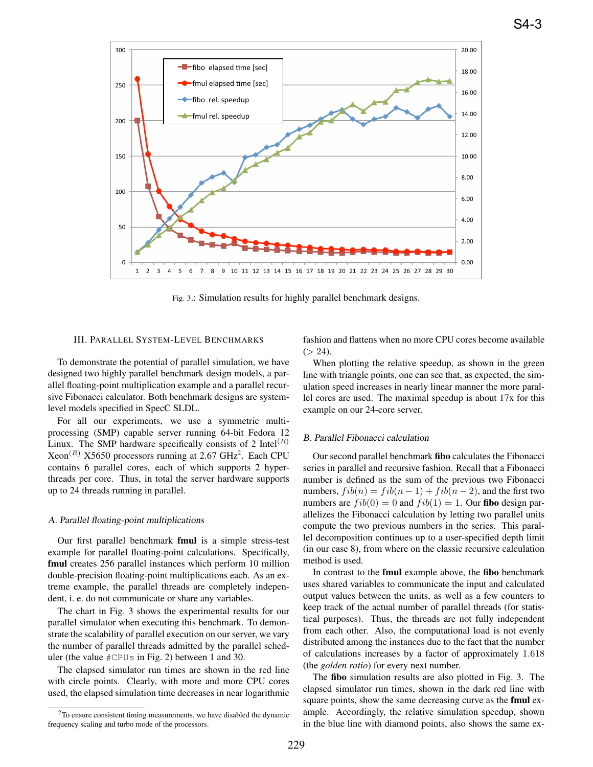S4-3



Fig. 3.: Simulation results for highly parallel benchmark designs.

## III. PARALLEL SYSTEM-LEVEL BENCHMARKS

To demonstrate the potential of parallel simulation, we have designed two highly parallel benchmark design models, a parallel floating-point multiplication example and a parallel recursive Fibonacci calculator. Both benchmark designs are systemlevel models specified in SpecC SLDL.

For all our experiments, we use a symmetric multiprocessing (SMP) capable server running 64-bit Fedora 12 Linux. The SMP hardware specifically consists of 2 Intel<sup>(R)</sup> Xeon<sup>(R)</sup> X5650 processors running at 2.67 GHz<sup>2</sup>. Each CPU contains 6 parallel cores, each of which supports 2 hyperthreads per core. Thus, in total the server hardware supports up to 24 threads running in parallel.

#### A. Parallel floating-point multiplications

Our first parallel benchmark **fmul** is a simple stress-test example for parallel floating-point calculations. Specifically, **fmul** creates 256 parallel instances which perform 10 million double-precision floating-point multiplications each. As an extreme example, the parallel threads are completely independent, i. e. do not communicate or share any variables.

The chart in Fig. 3 shows the experimental results for our parallel simulator when executing this benchmark. To demonstrate the scalability of parallel execution on our server, we vary the number of parallel threads admitted by the parallel scheduler (the value #CPUs in Fig. 2) between 1 and 30.

The elapsed simulator run times are shown in the red line with circle points. Clearly, with more and more CPU cores used, the elapsed simulation time decreases in near logarithmic fashion and flattens when no more CPU cores become available  $(> 24)$ .

When plotting the relative speedup, as shown in the green line with triangle points, one can see that, as expected, the simulation speed increases in nearly linear manner the more parallel cores are used. The maximal speedup is about 17x for this example on our 24-core server.

#### B. Parallel Fibonacci calculation

Our second parallel benchmark **fibo** calculates the Fibonacci series in parallel and recursive fashion. Recall that a Fibonacci number is defined as the sum of the previous two Fibonacci numbers,  $fib(n) = fib(n-1) + fib(n-2)$ , and the first two numbers are  $fib(0) = 0$  and  $fib(1) = 1$ . Our **fibo** design parallelizes the Fibonacci calculation by letting two parallel units compute the two previous numbers in the series. This parallel decomposition continues up to a user-specified depth limit (in our case 8), from where on the classic recursive calculation method is used.

In contrast to the **fmul** example above, the **fibo** benchmark uses shared variables to communicate the input and calculated output values between the units, as well as a few counters to keep track of the actual number of parallel threads (for statistical purposes). Thus, the threads are not fully independent from each other. Also, the computational load is not evenly distributed among the instances due to the fact that the number of calculations increases by a factor of approximately 1.618 (the *golden ratio*) for every next number.

The **fibo** simulation results are also plotted in Fig. 3. The elapsed simulator run times, shown in the dark red line with square points, show the same decreasing curve as the **fmul** example. Accordingly, the relative simulation speedup, shown in the blue line with diamond points, also shows the same ex-

<sup>2</sup>To ensure consistent timing measurements, we have disabled the dynamic frequency scaling and turbo mode of the processors.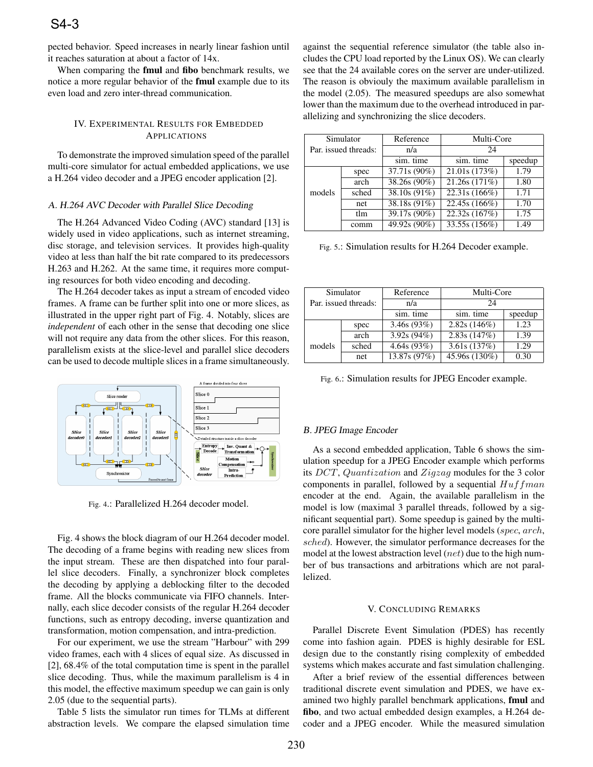# S4-3

pected behavior. Speed increases in nearly linear fashion until it reaches saturation at about a factor of 14x.

When comparing the **fmul** and **fibo** benchmark results, we notice a more regular behavior of the **fmul** example due to its even load and zero inter-thread communication.

# IV. EXPERIMENTAL RESULTS FOR EMBEDDED APPLICATIONS

To demonstrate the improved simulation speed of the parallel multi-core simulator for actual embedded applications, we use a H.264 video decoder and a JPEG encoder application [2].

#### A. H.264 AVC Decoder with Parallel Slice Decoding

The H.264 Advanced Video Coding (AVC) standard [13] is widely used in video applications, such as internet streaming, disc storage, and television services. It provides high-quality video at less than half the bit rate compared to its predecessors H.263 and H.262. At the same time, it requires more computing resources for both video encoding and decoding.

The H.264 decoder takes as input a stream of encoded video frames. A frame can be further split into one or more slices, as illustrated in the upper right part of Fig. 4. Notably, slices are *independent* of each other in the sense that decoding one slice will not require any data from the other slices. For this reason, parallelism exists at the slice-level and parallel slice decoders can be used to decode multiple slices in a frame simultaneously.



Fig. 4.: Parallelized H.264 decoder model.

Fig. 4 shows the block diagram of our H.264 decoder model. The decoding of a frame begins with reading new slices from the input stream. These are then dispatched into four parallel slice decoders. Finally, a synchronizer block completes the decoding by applying a deblocking filter to the decoded frame. All the blocks communicate via FIFO channels. Internally, each slice decoder consists of the regular H.264 decoder functions, such as entropy decoding, inverse quantization and transformation, motion compensation, and intra-prediction.

For our experiment, we use the stream "Harbour" with 299 video frames, each with 4 slices of equal size. As discussed in [2], 68.4% of the total computation time is spent in the parallel slice decoding. Thus, while the maximum parallelism is 4 in this model, the effective maximum speedup we can gain is only 2.05 (due to the sequential parts).

Table 5 lists the simulator run times for TLMs at different abstraction levels. We compare the elapsed simulation time against the sequential reference simulator (the table also includes the CPU load reported by the Linux OS). We can clearly see that the 24 available cores on the server are under-utilized. The reason is obviouly the maximum available parallelism in the model (2.05). The measured speedups are also somewhat lower than the maximum due to the overhead introduced in parallelizing and synchronizing the slice decoders.

| Simulator            |       | Reference      | Multi-Core    |         |
|----------------------|-------|----------------|---------------|---------|
| Par. issued threads: |       | n/a            | 24            |         |
|                      |       | sim. time      | sim. time     | speedup |
|                      | spec  | 37.71s (90%)   | 21.01s (173%) | 1.79    |
|                      | arch  | 38.26s (90%)   | 21.26s(171%)  | 1.80    |
| models               | sched | $38.10s(91\%)$ | 22.31s(166%)  | 1.71    |
|                      | net   | 38.18s (91%)   | 22.45s (166%) | 1.70    |
|                      | tlm   | 39.17s (90%)   | 22.32s(167%)  | 1.75    |
|                      | comm  | 49.92s (90%)   | 33.55s(156%)  | 1.49    |

Fig. 5.: Simulation results for H.264 Decoder example.

| Simulator            |       | Reference    | Multi-Core    |         |
|----------------------|-------|--------------|---------------|---------|
| Par. issued threads: |       | n/a          | 24            |         |
|                      |       | sim. time    | sim. time     | speedup |
|                      | spec  | 3.46s(93%)   | 2.82s(146%)   | 1.23    |
|                      | arch  | 3.92s(94%)   | 2.83s(147%)   | 1.39    |
| models               | sched | 4.64s(93%)   | 3.61s(137%)   | 1.29    |
|                      | net   | 13.87s (97%) | 45.96s (130%) | 0.30    |

Fig. 6.: Simulation results for JPEG Encoder example.

## B. JPEG Image Encoder

As a second embedded application, Table 6 shows the simulation speedup for a JPEG Encoder example which performs its DCT, Quantization and Zigzag modules for the 3 color components in parallel, followed by a sequential  $Huffman$ encoder at the end. Again, the available parallelism in the model is low (maximal 3 parallel threads, followed by a significant sequential part). Some speedup is gained by the multicore parallel simulator for the higher level models (spec, arch, sched). However, the simulator performance decreases for the model at the lowest abstraction level  $(net)$  due to the high number of bus transactions and arbitrations which are not parallelized.

#### V. CONCLUDING REMARKS

Parallel Discrete Event Simulation (PDES) has recently come into fashion again. PDES is highly desirable for ESL design due to the constantly rising complexity of embedded systems which makes accurate and fast simulation challenging.

After a brief review of the essential differences between traditional discrete event simulation and PDES, we have examined two highly parallel benchmark applications, **fmul** and **fibo**, and two actual embedded design examples, a H.264 decoder and a JPEG encoder. While the measured simulation